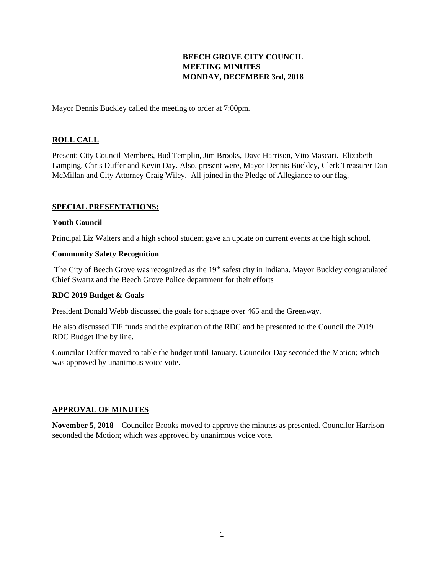# **BEECH GROVE CITY COUNCIL MEETING MINUTES MONDAY, DECEMBER 3rd, 2018**

Mayor Dennis Buckley called the meeting to order at 7:00pm.

## **ROLL CALL**

Present: City Council Members, Bud Templin, Jim Brooks, Dave Harrison, Vito Mascari. Elizabeth Lamping, Chris Duffer and Kevin Day. Also, present were, Mayor Dennis Buckley, Clerk Treasurer Dan McMillan and City Attorney Craig Wiley. All joined in the Pledge of Allegiance to our flag.

#### **SPECIAL PRESENTATIONS:**

#### **Youth Council**

Principal Liz Walters and a high school student gave an update on current events at the high school.

#### **Community Safety Recognition**

The City of Beech Grove was recognized as the 19<sup>th</sup> safest city in Indiana. Mayor Buckley congratulated Chief Swartz and the Beech Grove Police department for their efforts

### **RDC 2019 Budget & Goals**

President Donald Webb discussed the goals for signage over 465 and the Greenway.

He also discussed TIF funds and the expiration of the RDC and he presented to the Council the 2019 RDC Budget line by line.

Councilor Duffer moved to table the budget until January. Councilor Day seconded the Motion; which was approved by unanimous voice vote.

#### **APPROVAL OF MINUTES**

**November 5, 2018 –** Councilor Brooks moved to approve the minutes as presented. Councilor Harrison seconded the Motion; which was approved by unanimous voice vote.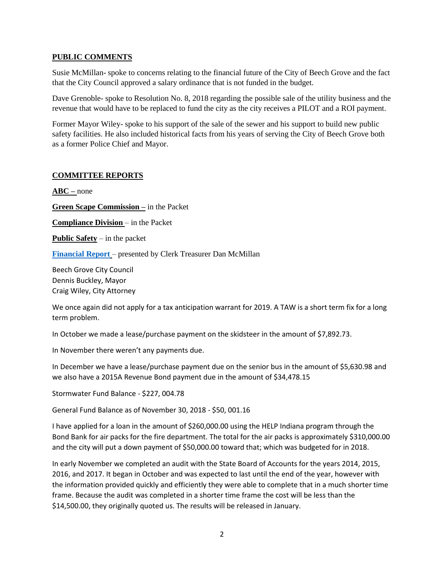#### **PUBLIC COMMENTS**

Susie McMillan- spoke to concerns relating to the financial future of the City of Beech Grove and the fact that the City Council approved a salary ordinance that is not funded in the budget.

Dave Grenoble- spoke to Resolution No. 8, 2018 regarding the possible sale of the utility business and the revenue that would have to be replaced to fund the city as the city receives a PILOT and a ROI payment.

Former Mayor Wiley- spoke to his support of the sale of the sewer and his support to build new public safety facilities. He also included historical facts from his years of serving the City of Beech Grove both as a former Police Chief and Mayor.

# **COMMITTEE REPORTS**

**ABC –** none

**Green Scape Commission –** in the Packet

**Compliance Division** – in the Packet

**Public Safety** – in the packet

**[Financial Report](http://www.beechgrove.com/uploads/1/0/1/2/10129925/december_2018_financial_report.pdf)** – presented by Clerk Treasurer Dan McMillan

Beech Grove City Council Dennis Buckley, Mayor Craig Wiley, City Attorney

We once again did not apply for a tax anticipation warrant for 2019. A TAW is a short term fix for a long term problem.

In October we made a lease/purchase payment on the skidsteer in the amount of \$7,892.73.

In November there weren't any payments due.

In December we have a lease/purchase payment due on the senior bus in the amount of \$5,630.98 and we also have a 2015A Revenue Bond payment due in the amount of \$34,478.15

Stormwater Fund Balance - \$227, 004.78

General Fund Balance as of November 30, 2018 - \$50, 001.16

I have applied for a loan in the amount of \$260,000.00 using the HELP Indiana program through the Bond Bank for air packs for the fire department. The total for the air packs is approximately \$310,000.00 and the city will put a down payment of \$50,000.00 toward that; which was budgeted for in 2018.

In early November we completed an audit with the State Board of Accounts for the years 2014, 2015, 2016, and 2017. It began in October and was expected to last until the end of the year, however with the information provided quickly and efficiently they were able to complete that in a much shorter time frame. Because the audit was completed in a shorter time frame the cost will be less than the \$14,500.00, they originally quoted us. The results will be released in January.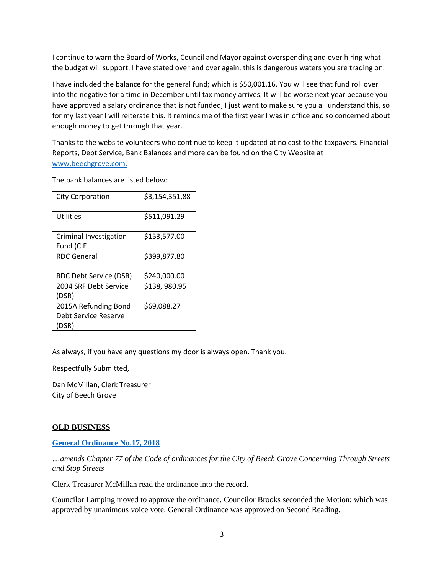I continue to warn the Board of Works, Council and Mayor against overspending and over hiring what the budget will support. I have stated over and over again, this is dangerous waters you are trading on.

I have included the balance for the general fund; which is \$50,001.16. You will see that fund roll over into the negative for a time in December until tax money arrives. It will be worse next year because you have approved a salary ordinance that is not funded, I just want to make sure you all understand this, so for my last year I will reiterate this. It reminds me of the first year I was in office and so concerned about enough money to get through that year.

Thanks to the website volunteers who continue to keep it updated at no cost to the taxpayers. Financial Reports, Debt Service, Bank Balances and more can be found on the City Website at [www.beechgrove.com.](file:///C:/Users/dan/Documents/www.beechgrove.com)

The bank balances are listed below:

| <b>City Corporation</b>                               | \$3,154,351,88 |
|-------------------------------------------------------|----------------|
| Utilities                                             | \$511,091.29   |
| Criminal Investigation<br>Fund (CIF                   | \$153,577.00   |
| <b>RDC</b> General                                    | \$399,877.80   |
| RDC Debt Service (DSR)                                | \$240,000.00   |
| 2004 SRF Debt Service<br>(DSR)                        | \$138,980.95   |
| 2015A Refunding Bond<br>Debt Service Reserve<br>(DSR) | \$69,088.27    |

As always, if you have any questions my door is always open. Thank you.

Respectfully Submitted,

Dan McMillan, Clerk Treasurer City of Beech Grove

### **OLD BUSINESS**

**[General Ordinance No.17, 2018](http://www.beechgrove.com/uploads/1/0/1/2/10129925/general_ordinance_no.172018.pdf)**

…*amends Chapter 77 of the Code of ordinances for the City of Beech Grove Concerning Through Streets and Stop Streets*

Clerk-Treasurer McMillan read the ordinance into the record.

Councilor Lamping moved to approve the ordinance. Councilor Brooks seconded the Motion; which was approved by unanimous voice vote. General Ordinance was approved on Second Reading.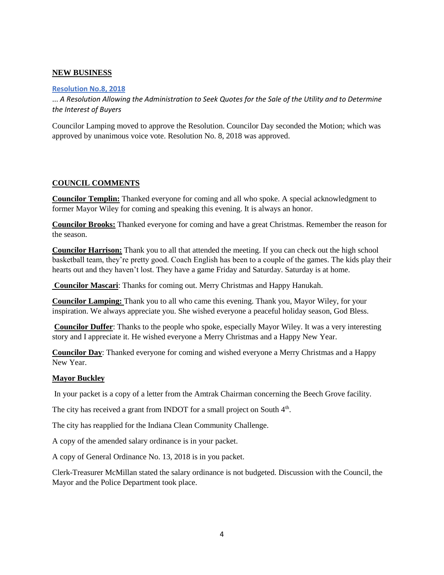### **NEW BUSINESS**

#### **[Resolution No.8, 2018](http://www.beechgrove.com/uploads/1/0/1/2/10129925/resolution_no.8_2018.pdf)**

... *A Resolution Allowing the Administration to Seek Quotes for the Sale of the Utility and to Determine the Interest of Buyers*

Councilor Lamping moved to approve the Resolution. Councilor Day seconded the Motion; which was approved by unanimous voice vote. Resolution No. 8, 2018 was approved.

### **COUNCIL COMMENTS**

**Councilor Templin:** Thanked everyone for coming and all who spoke. A special acknowledgment to former Mayor Wiley for coming and speaking this evening. It is always an honor.

**Councilor Brooks:** Thanked everyone for coming and have a great Christmas. Remember the reason for the season.

**Councilor Harrison:** Thank you to all that attended the meeting. If you can check out the high school basketball team, they're pretty good. Coach English has been to a couple of the games. The kids play their hearts out and they haven't lost. They have a game Friday and Saturday. Saturday is at home.

**Councilor Mascari**: Thanks for coming out. Merry Christmas and Happy Hanukah.

**Councilor Lamping:** Thank you to all who came this evening. Thank you, Mayor Wiley, for your inspiration. We always appreciate you. She wished everyone a peaceful holiday season, God Bless.

**Councilor Duffer**: Thanks to the people who spoke, especially Mayor Wiley. It was a very interesting story and I appreciate it. He wished everyone a Merry Christmas and a Happy New Year.

**Councilor Day**: Thanked everyone for coming and wished everyone a Merry Christmas and a Happy New Year.

#### **Mayor Buckley**

In your packet is a copy of a letter from the Amtrak Chairman concerning the Beech Grove facility.

The city has received a grant from INDOT for a small project on South  $4<sup>th</sup>$ .

The city has reapplied for the Indiana Clean Community Challenge.

A copy of the amended salary ordinance is in your packet.

A copy of General Ordinance No. 13, 2018 is in you packet.

Clerk-Treasurer McMillan stated the salary ordinance is not budgeted. Discussion with the Council, the Mayor and the Police Department took place.